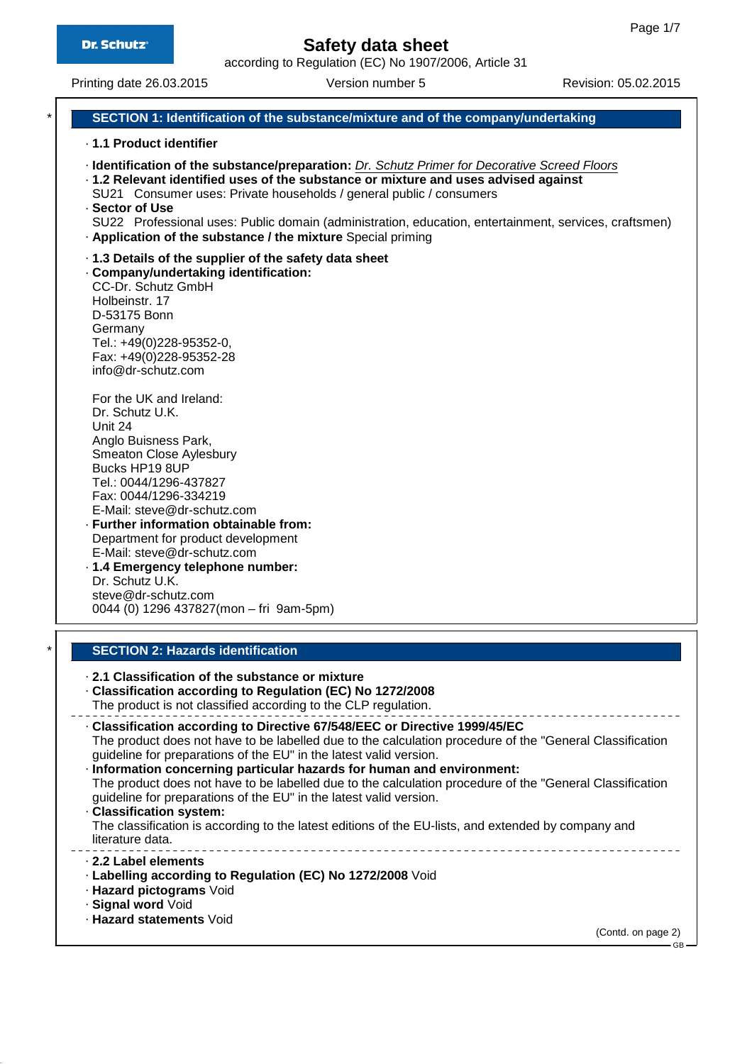according to Regulation (EC) No 1907/2006, Article 31

#### Printing date 26.03.2015 Version number 5 Revision: 05.02.2015

## **SECTION 1: Identification of the substance/mixture and of the company/undertaking**

## · **1.1 Product identifier**

- · **Identification of the substance/preparation:** Dr. Schutz Primer for Decorative Screed Floors
- · **1.2 Relevant identified uses of the substance or mixture and uses advised against** SU21 Consumer uses: Private households / general public / consumers
- · **Sector of Use**
- SU22 Professional uses: Public domain (administration, education, entertainment, services, craftsmen) · **Application of the substance / the mixture** Special priming
- · **1.3 Details of the supplier of the safety data sheet**
- · **Company/undertaking identification:**

CC-Dr. Schutz GmbH Holbeinstr. 17 D-53175 Bonn Germany Tel.: +49(0)228-95352-0, Fax: +49(0)228-95352-28 info@dr-schutz.com

For the UK and Ireland: Dr. Schutz U.K. Unit 24 Anglo Buisness Park, Smeaton Close Aylesbury Bucks HP19 8UP Tel.: 0044/1296-437827 Fax: 0044/1296-334219

E-Mail: steve@dr-schutz.com · **Further information obtainable from:** Department for product development E-Mail: steve@dr-schutz.com

· **1.4 Emergency telephone number:** Dr. Schutz U.K. steve@dr-schutz.com 0044 (0) 1296 437827(mon – fri 9am-5pm)

## **SECTION 2: Hazards identification**

| ⋅ 2.1 Classification of the substance or mixture<br>Classification according to Regulation (EC) No 1272/2008<br>The product is not classified according to the CLP regulation.                                                                                                                                                                                                                                                                                                                                                                                                                                                                                                    |
|-----------------------------------------------------------------------------------------------------------------------------------------------------------------------------------------------------------------------------------------------------------------------------------------------------------------------------------------------------------------------------------------------------------------------------------------------------------------------------------------------------------------------------------------------------------------------------------------------------------------------------------------------------------------------------------|
| - Classification according to Directive 67/548/EEC or Directive 1999/45/EC<br>The product does not have to be labelled due to the calculation procedure of the "General Classification"<br>guideline for preparations of the EU" in the latest valid version.<br>· Information concerning particular hazards for human and environment:<br>The product does not have to be labelled due to the calculation procedure of the "General Classification"<br>guideline for preparations of the EU" in the latest valid version.<br>· Classification system:<br>The classification is according to the latest editions of the EU-lists, and extended by company and<br>literature data. |
| 2.2 Label elements<br>· Labelling according to Regulation (EC) No 1272/2008 Void<br>· Hazard pictograms Void<br>· Signal word Void<br>· Hazard statements Void<br>(Contd. on page 2)<br>- GB                                                                                                                                                                                                                                                                                                                                                                                                                                                                                      |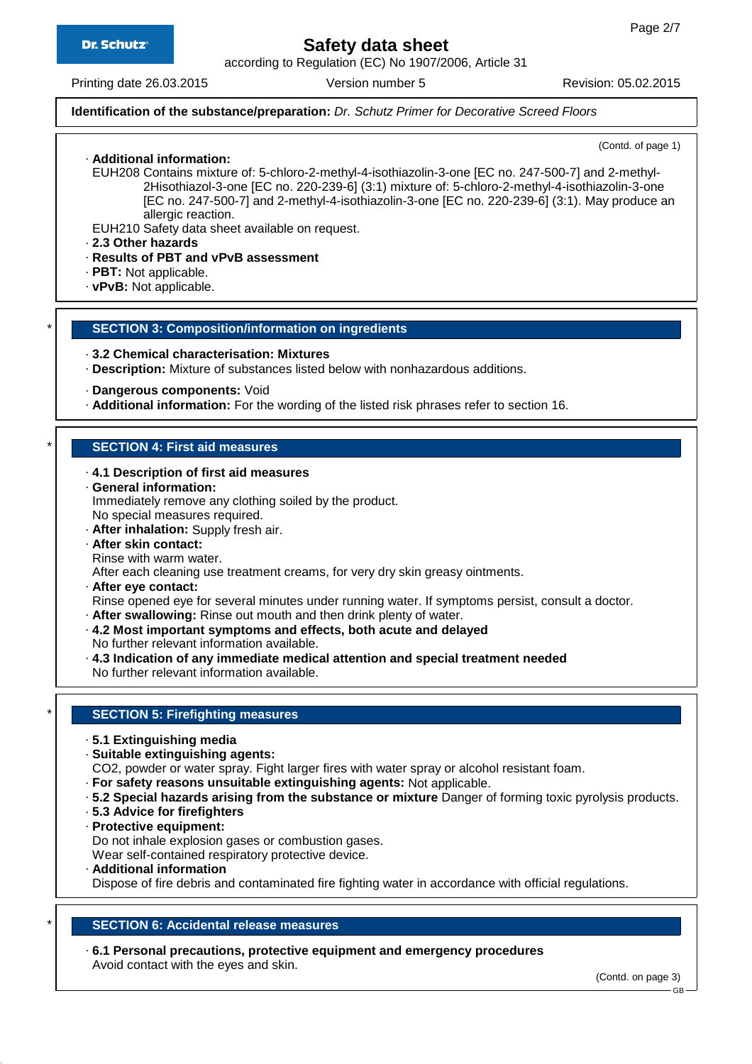according to Regulation (EC) No 1907/2006, Article 31

Printing date 26.03.2015 Version number 5 Revision: 05.02.2015

## **Identification of the substance/preparation:** Dr. Schutz Primer for Decorative Screed Floors

(Contd. of page 1)

· **Additional information:** EUH208 Contains mixture of: 5-chloro-2-methyl-4-isothiazolin-3-one [EC no. 247-500-7] and 2-methyl-2Hisothiazol-3-one [EC no. 220-239-6] (3:1) mixture of: 5-chloro-2-methyl-4-isothiazolin-3-one [EC no. 247-500-7] and 2-methyl-4-isothiazolin-3-one [EC no. 220-239-6] (3:1). May produce an allergic reaction.

EUH210 Safety data sheet available on request.

· **2.3 Other hazards**

- · **Results of PBT and vPvB assessment**
- · **PBT:** Not applicable.
- · **vPvB:** Not applicable.

## **SECTION 3: Composition/information on ingredients**

- · **3.2 Chemical characterisation: Mixtures**
- · **Description:** Mixture of substances listed below with nonhazardous additions.
- · **Dangerous components:** Void
- · **Additional information:** For the wording of the listed risk phrases refer to section 16.

## **SECTION 4: First aid measures**

- · **4.1 Description of first aid measures**
- · **General information:** Immediately remove any clothing soiled by the product. No special measures required.
- · **After inhalation:** Supply fresh air.
- · **After skin contact:**
- Rinse with warm water.
- After each cleaning use treatment creams, for very dry skin greasy ointments.
- · **After eye contact:**
- Rinse opened eye for several minutes under running water. If symptoms persist, consult a doctor.
- · **After swallowing:** Rinse out mouth and then drink plenty of water. · **4.2 Most important symptoms and effects, both acute and delayed** No further relevant information available.
- · **4.3 Indication of any immediate medical attention and special treatment needed**

No further relevant information available.

## **SECTION 5: Firefighting measures**

- · **5.1 Extinguishing media**
- · **Suitable extinguishing agents:**
- CO2, powder or water spray. Fight larger fires with water spray or alcohol resistant foam.
- · **For safety reasons unsuitable extinguishing agents:** Not applicable.
- · **5.2 Special hazards arising from the substance or mixture** Danger of forming toxic pyrolysis products.
- · **5.3 Advice for firefighters**
- · **Protective equipment:**
- Do not inhale explosion gases or combustion gases.

Wear self-contained respiratory protective device.

· **Additional information**

Dispose of fire debris and contaminated fire fighting water in accordance with official regulations.

## **SECTION 6: Accidental release measures**

· **6.1 Personal precautions, protective equipment and emergency procedures** Avoid contact with the eyes and skin.

(Contd. on page 3)

GB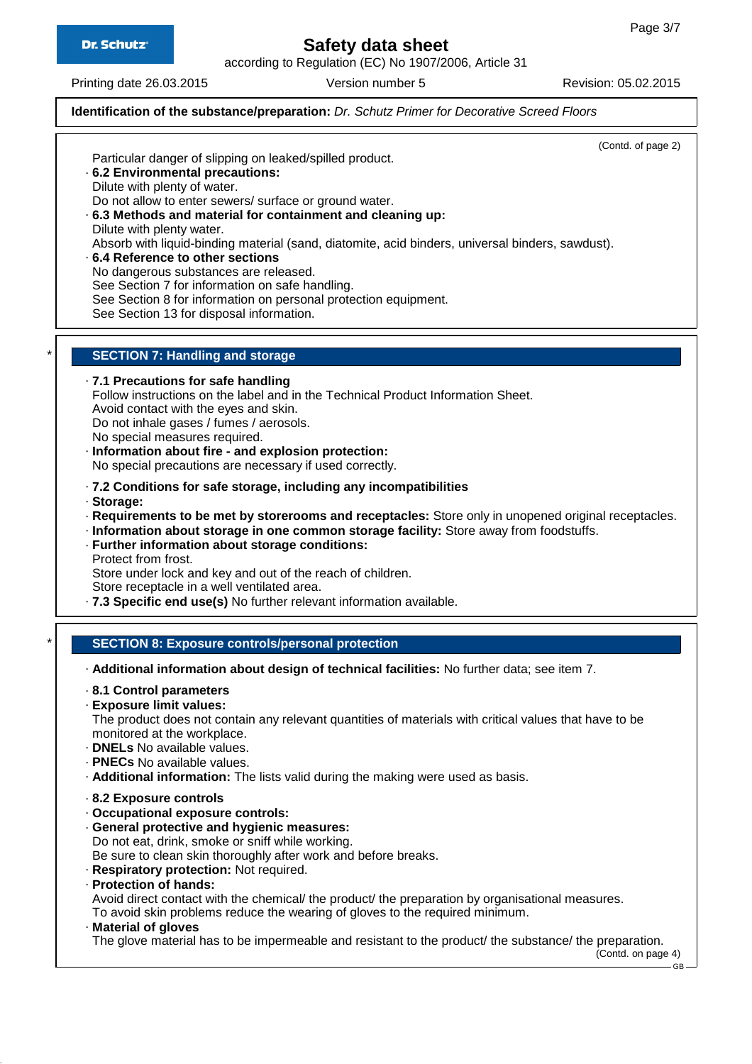according to Regulation (EC) No 1907/2006, Article 31

Printing date 26.03.2015 Version number 5 Revision: 05.02.2015

## **Identification of the substance/preparation:** Dr. Schutz Primer for Decorative Screed Floors

(Contd. of page 2) Particular danger of slipping on leaked/spilled product. · **6.2 Environmental precautions:** Dilute with plenty of water. Do not allow to enter sewers/ surface or ground water. · **6.3 Methods and material for containment and cleaning up:** Dilute with plenty water. Absorb with liquid-binding material (sand, diatomite, acid binders, universal binders, sawdust). · **6.4 Reference to other sections** No dangerous substances are released. See Section 7 for information on safe handling. See Section 8 for information on personal protection equipment. See Section 13 for disposal information. **SECTION 7: Handling and storage** · **7.1 Precautions for safe handling** Follow instructions on the label and in the Technical Product Information Sheet. Avoid contact with the eyes and skin. Do not inhale gases / fumes / aerosols. No special measures required. · **Information about fire - and explosion protection:** No special precautions are necessary if used correctly. · **7.2 Conditions for safe storage, including any incompatibilities** · **Storage:** · **Requirements to be met by storerooms and receptacles:** Store only in unopened original receptacles. · **Information about storage in one common storage facility:** Store away from foodstuffs. · **Further information about storage conditions:** Protect from frost. Store under lock and key and out of the reach of children. Store receptacle in a well ventilated area. · **7.3 Specific end use(s)** No further relevant information available. **SECTION 8: Exposure controls/personal protection** · **Additional information about design of technical facilities:** No further data; see item 7. · **8.1 Control parameters** · **Exposure limit values:** The product does not contain any relevant quantities of materials with critical values that have to be monitored at the workplace. · **DNELs** No available values. · **PNECs** No available values. · **Additional information:** The lists valid during the making were used as basis. · **8.2 Exposure controls** · **Occupational exposure controls:** · **General protective and hygienic measures:** Do not eat, drink, smoke or sniff while working. Be sure to clean skin thoroughly after work and before breaks. · **Respiratory protection:** Not required. · **Protection of hands:** Avoid direct contact with the chemical/ the product/ the preparation by organisational measures. To avoid skin problems reduce the wearing of gloves to the required minimum. · **Material of gloves** The glove material has to be impermeable and resistant to the product/ the substance/ the preparation. (Contd. on page 4) GB.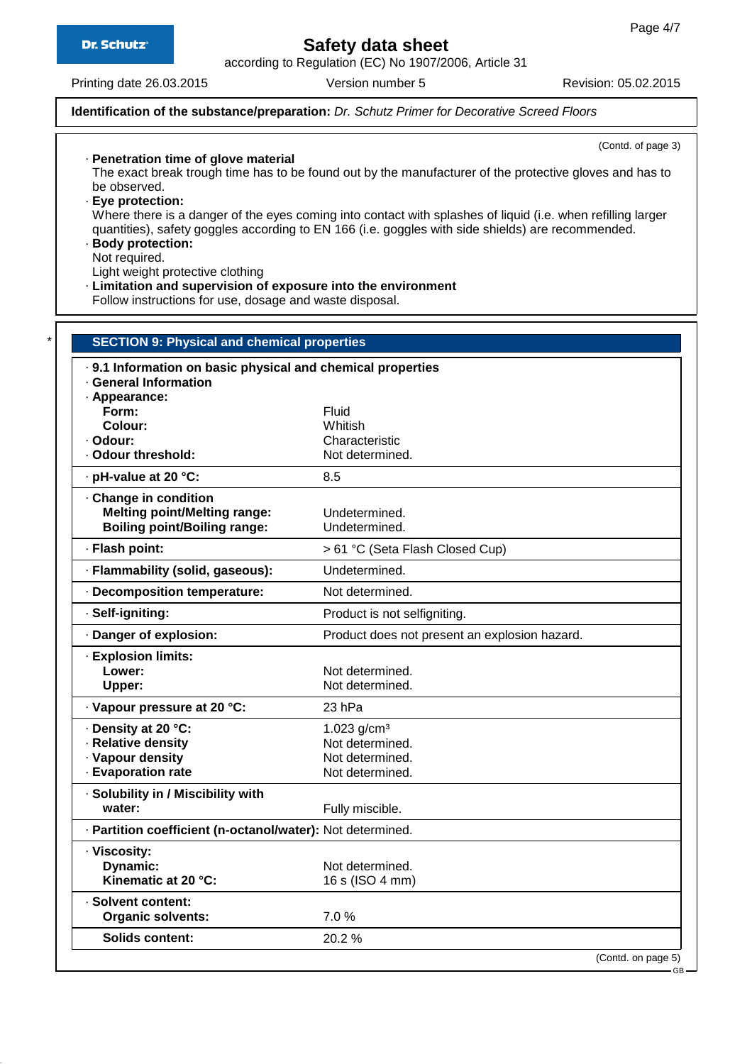according to Regulation (EC) No 1907/2006, Article 31

Printing date 26.03.2015 Version number 5 Revision: 05.02.2015

## **Identification of the substance/preparation:** Dr. Schutz Primer for Decorative Screed Floors

(Contd. of page 3)

GB

| be observed.<br>· Eye protection:                                                                 |                                                                                                                                                                                                                  |
|---------------------------------------------------------------------------------------------------|------------------------------------------------------------------------------------------------------------------------------------------------------------------------------------------------------------------|
|                                                                                                   | Where there is a danger of the eyes coming into contact with splashes of liquid (i.e. when refilling larger<br>quantities), safety goggles according to EN 166 (i.e. goggles with side shields) are recommended. |
| · Body protection:<br>Not required.                                                               |                                                                                                                                                                                                                  |
| Light weight protective clothing<br>· Limitation and supervision of exposure into the environment |                                                                                                                                                                                                                  |
| Follow instructions for use, dosage and waste disposal.                                           |                                                                                                                                                                                                                  |
| <b>SECTION 9: Physical and chemical properties</b>                                                |                                                                                                                                                                                                                  |
| . 9.1 Information on basic physical and chemical properties<br>· General Information              |                                                                                                                                                                                                                  |
| · Appearance:                                                                                     |                                                                                                                                                                                                                  |
| Form:<br>Colour:                                                                                  | Fluid<br>Whitish                                                                                                                                                                                                 |
| · Odour:                                                                                          | Characteristic                                                                                                                                                                                                   |
| · Odour threshold:                                                                                | Not determined.                                                                                                                                                                                                  |
| · pH-value at 20 °C:                                                                              | 8.5                                                                                                                                                                                                              |
| Change in condition                                                                               |                                                                                                                                                                                                                  |
| <b>Melting point/Melting range:</b><br><b>Boiling point/Boiling range:</b>                        | Undetermined.<br>Undetermined.                                                                                                                                                                                   |
| · Flash point:                                                                                    | > 61 °C (Seta Flash Closed Cup)                                                                                                                                                                                  |
| · Flammability (solid, gaseous):                                                                  | Undetermined.                                                                                                                                                                                                    |
| · Decomposition temperature:                                                                      | Not determined.                                                                                                                                                                                                  |
| · Self-igniting:                                                                                  | Product is not selfigniting.                                                                                                                                                                                     |
| · Danger of explosion:                                                                            | Product does not present an explosion hazard.                                                                                                                                                                    |
| · Explosion limits:                                                                               |                                                                                                                                                                                                                  |
| Lower:                                                                                            | Not determined.                                                                                                                                                                                                  |
| Upper:                                                                                            | Not determined.                                                                                                                                                                                                  |
| · Vapour pressure at 20 °C:                                                                       | 23 hPa                                                                                                                                                                                                           |
| · Density at 20 °C:<br>· Relative density                                                         | 1.023 $g/cm^3$<br>Not determined.                                                                                                                                                                                |
| · Vapour density                                                                                  | Not determined.                                                                                                                                                                                                  |
| · Evaporation rate                                                                                | Not determined.                                                                                                                                                                                                  |
| · Solubility in / Miscibility with                                                                |                                                                                                                                                                                                                  |
| water:                                                                                            | Fully miscible.                                                                                                                                                                                                  |
| · Partition coefficient (n-octanol/water): Not determined.                                        |                                                                                                                                                                                                                  |
| · Viscosity:                                                                                      |                                                                                                                                                                                                                  |
| Dynamic:<br>Kinematic at 20 °C:                                                                   | Not determined.<br>16 s (ISO 4 mm)                                                                                                                                                                               |
|                                                                                                   |                                                                                                                                                                                                                  |
| · Solvent content:<br><b>Organic solvents:</b>                                                    | 7.0%                                                                                                                                                                                                             |
| <b>Solids content:</b>                                                                            | 20.2%                                                                                                                                                                                                            |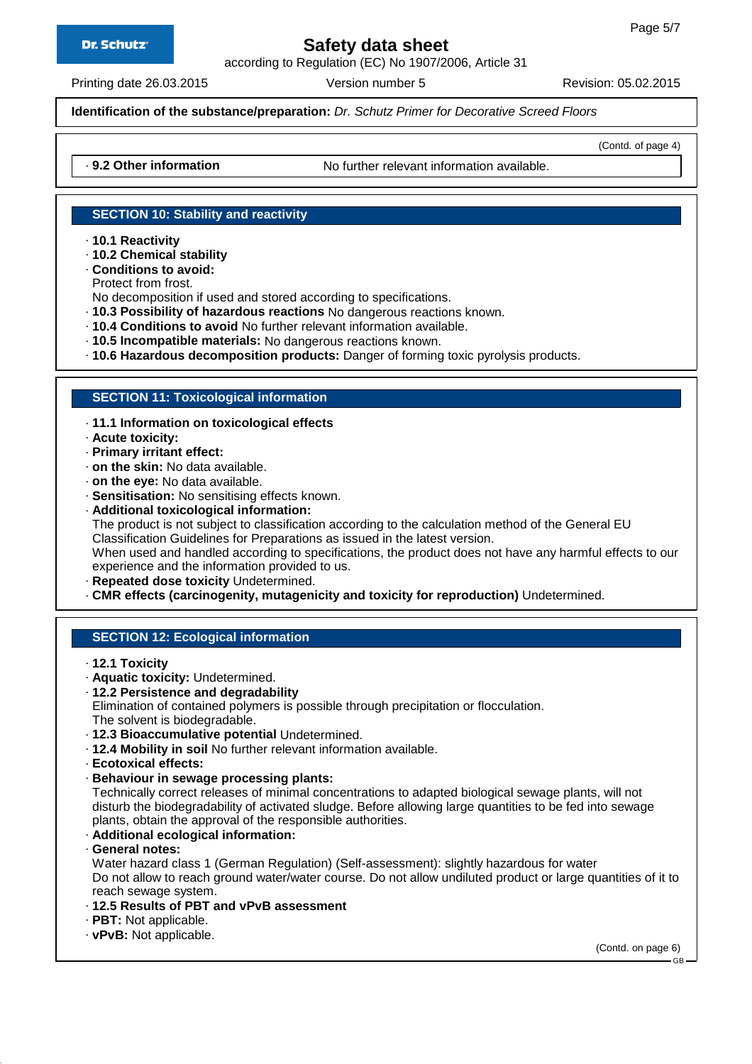according to Regulation (EC) No 1907/2006, Article 31

Printing date 26.03.2015 Version number 5 Revision: 05.02.2015

(Contd. of page 4)

## **Identification of the substance/preparation:** Dr. Schutz Primer for Decorative Screed Floors

· **9.2 Other information** No further relevant information available.

## **SECTION 10: Stability and reactivity**

· **10.1 Reactivity**

- · **10.2 Chemical stability**
- · **Conditions to avoid:**

Protect from frost.

No decomposition if used and stored according to specifications.

- · **10.3 Possibility of hazardous reactions** No dangerous reactions known.
- · **10.4 Conditions to avoid** No further relevant information available.
- · **10.5 Incompatible materials:** No dangerous reactions known.
- · **10.6 Hazardous decomposition products:** Danger of forming toxic pyrolysis products.

## **SECTION 11: Toxicological information**

- · **11.1 Information on toxicological effects**
- · **Acute toxicity:**
- · **Primary irritant effect:**
- · **on the skin:** No data available.
- · **on the eye:** No data available.
- · **Sensitisation:** No sensitising effects known.
- · **Additional toxicological information:**

The product is not subject to classification according to the calculation method of the General EU Classification Guidelines for Preparations as issued in the latest version.

When used and handled according to specifications, the product does not have any harmful effects to our experience and the information provided to us.

- · **Repeated dose toxicity** Undetermined.
- · **CMR effects (carcinogenity, mutagenicity and toxicity for reproduction)** Undetermined.

## **SECTION 12: Ecological information**

- · **12.1 Toxicity**
- · **Aquatic toxicity:** Undetermined.
- · **12.2 Persistence and degradability**

Elimination of contained polymers is possible through precipitation or flocculation. The solvent is biodegradable.

- · **12.3 Bioaccumulative potential** Undetermined.
- · **12.4 Mobility in soil** No further relevant information available.
- · **Ecotoxical effects:**
- · **Behaviour in sewage processing plants:**

Technically correct releases of minimal concentrations to adapted biological sewage plants, will not disturb the biodegradability of activated sludge. Before allowing large quantities to be fed into sewage plants, obtain the approval of the responsible authorities.

- · **Additional ecological information:**
- · **General notes:**

Water hazard class 1 (German Regulation) (Self-assessment): slightly hazardous for water Do not allow to reach ground water/water course. Do not allow undiluted product or large quantities of it to reach sewage system.

- · **12.5 Results of PBT and vPvB assessment**
- · **PBT:** Not applicable.
- · **vPvB:** Not applicable.

(Contd. on page 6)

GB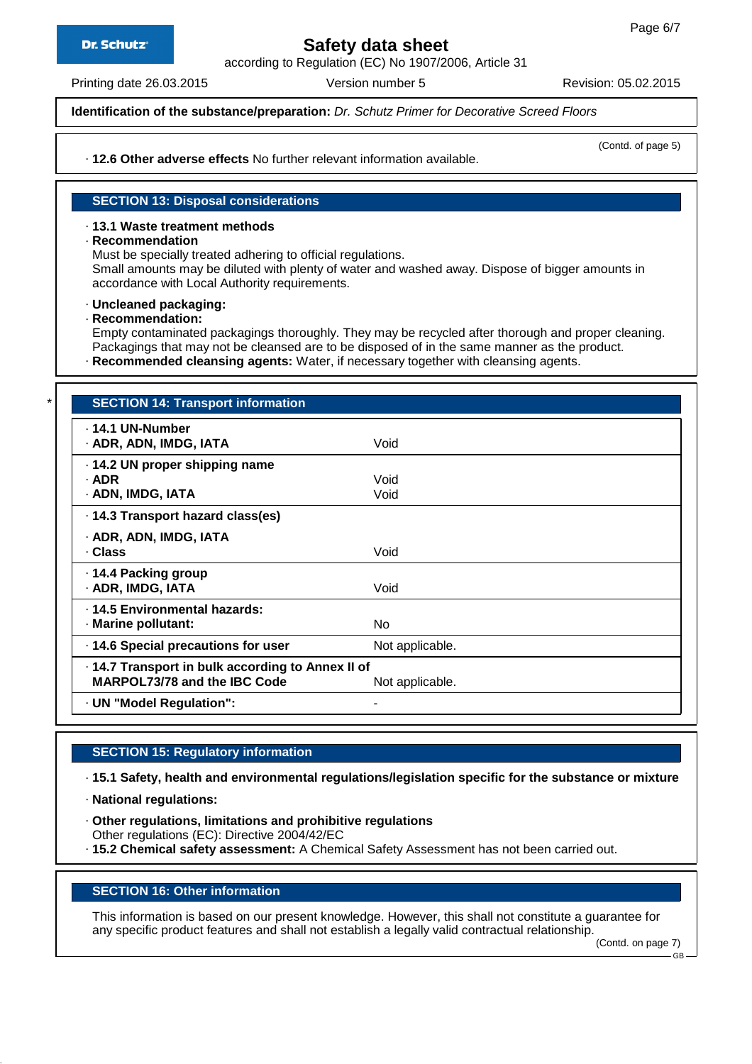according to Regulation (EC) No 1907/2006, Article 31

Printing date 26.03.2015 Version number 5 Revision: 05.02.2015

**Identification of the substance/preparation:** Dr. Schutz Primer for Decorative Screed Floors

(Contd. of page 5)

· **12.6 Other adverse effects** No further relevant information available.

**SECTION 13: Disposal considerations**

## · **13.1 Waste treatment methods**

## · **Recommendation**

Must be specially treated adhering to official regulations.

Small amounts may be diluted with plenty of water and washed away. Dispose of bigger amounts in accordance with Local Authority requirements.

#### · **Uncleaned packaging:**

· **Recommendation:**

Empty contaminated packagings thoroughly. They may be recycled after thorough and proper cleaning. Packagings that may not be cleansed are to be disposed of in the same manner as the product.

· **Recommended cleansing agents:** Water, if necessary together with cleansing agents.

| . 14.1 UN-Number<br>· ADR, ADN, IMDG, IATA        | Void            |  |
|---------------------------------------------------|-----------------|--|
| · 14.2 UN proper shipping name                    |                 |  |
| · ADR                                             | Void            |  |
| · ADN, IMDG, IATA                                 | Void            |  |
| · 14.3 Transport hazard class(es)                 |                 |  |
| · ADR, ADN, IMDG, IATA                            |                 |  |
| · Class                                           | Void            |  |
| ⋅ 14.4 Packing group                              |                 |  |
| · ADR, IMDG, IATA                                 | Void            |  |
| · 14.5 Environmental hazards:                     |                 |  |
| · Marine pollutant:                               | <b>No</b>       |  |
| · 14.6 Special precautions for user               | Not applicable. |  |
| · 14.7 Transport in bulk according to Annex II of |                 |  |
| MARPOL73/78 and the IBC Code                      | Not applicable. |  |

## **SECTION 15: Regulatory information**

· **15.1 Safety, health and environmental regulations/legislation specific for the substance or mixture**

- · **National regulations:**
- · **Other regulations, limitations and prohibitive regulations** Other regulations (EC): Directive 2004/42/EC
- · **15.2 Chemical safety assessment:** A Chemical Safety Assessment has not been carried out.

## **SECTION 16: Other information**

This information is based on our present knowledge. However, this shall not constitute a guarantee for any specific product features and shall not establish a legally valid contractual relationship.

(Contd. on page 7)